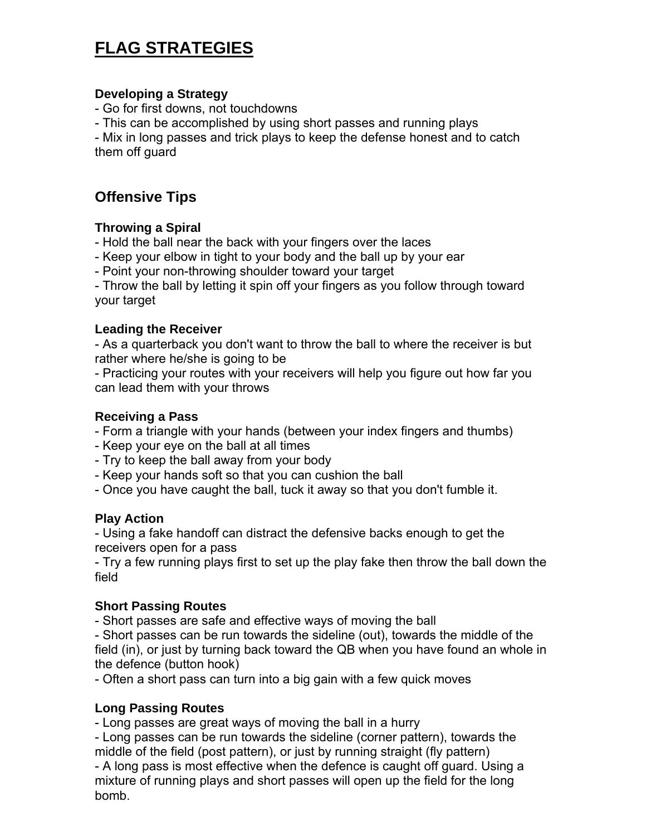# **FLAG STRATEGIES**

## **Developing a Strategy**

- Go for first downs, not touchdowns

- This can be accomplished by using short passes and running plays

- Mix in long passes and trick plays to keep the defense honest and to catch them off guard

## **Offensive Tips**

## **Throwing a Spiral**

- Hold the ball near the back with your fingers over the laces

- Keep your elbow in tight to your body and the ball up by your ear

- Point your non-throwing shoulder toward your target

- Throw the ball by letting it spin off your fingers as you follow through toward your target

## **Leading the Receiver**

- As a quarterback you don't want to throw the ball to where the receiver is but rather where he/she is going to be

- Practicing your routes with your receivers will help you figure out how far you can lead them with your throws

## **Receiving a Pass**

- Form a triangle with your hands (between your index fingers and thumbs)
- Keep your eye on the ball at all times
- Try to keep the ball away from your body
- Keep your hands soft so that you can cushion the ball

- Once you have caught the ball, tuck it away so that you don't fumble it.

## **Play Action**

- Using a fake handoff can distract the defensive backs enough to get the receivers open for a pass

- Try a few running plays first to set up the play fake then throw the ball down the field

## **Short Passing Routes**

- Short passes are safe and effective ways of moving the ball

- Short passes can be run towards the sideline (out), towards the middle of the field (in), or just by turning back toward the QB when you have found an whole in the defence (button hook)

- Often a short pass can turn into a big gain with a few quick moves

## **Long Passing Routes**

- Long passes are great ways of moving the ball in a hurry

- Long passes can be run towards the sideline (corner pattern), towards the middle of the field (post pattern), or just by running straight (fly pattern)

- A long pass is most effective when the defence is caught off guard. Using a mixture of running plays and short passes will open up the field for the long bomb.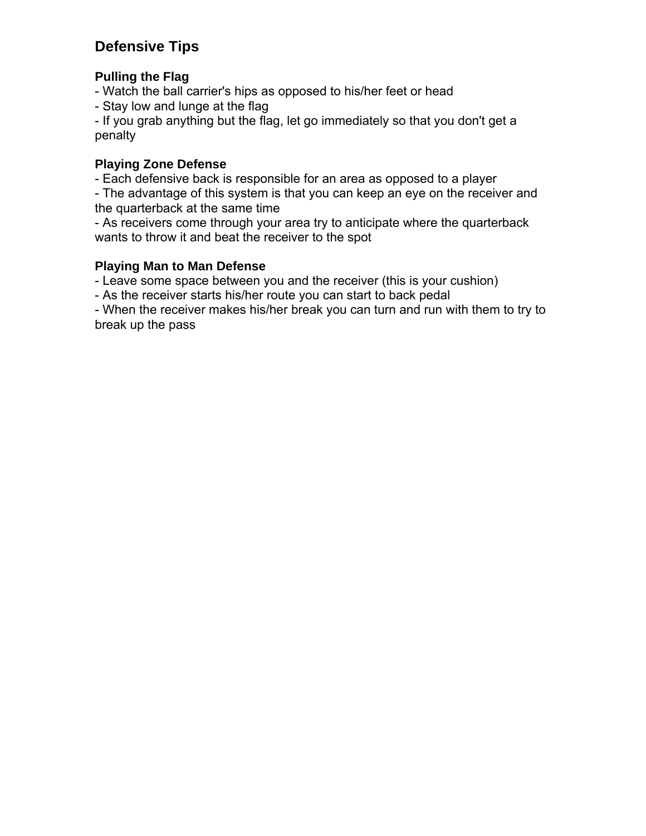# **Defensive Tips**

## **Pulling the Flag**

- Watch the ball carrier's hips as opposed to his/her feet or head

- Stay low and lunge at the flag

- If you grab anything but the flag, let go immediately so that you don't get a penalty

## **Playing Zone Defense**

- Each defensive back is responsible for an area as opposed to a player

- The advantage of this system is that you can keep an eye on the receiver and the quarterback at the same time

- As receivers come through your area try to anticipate where the quarterback wants to throw it and beat the receiver to the spot

## **Playing Man to Man Defense**

- Leave some space between you and the receiver (this is your cushion)

- As the receiver starts his/her route you can start to back pedal

- When the receiver makes his/her break you can turn and run with them to try to break up the pass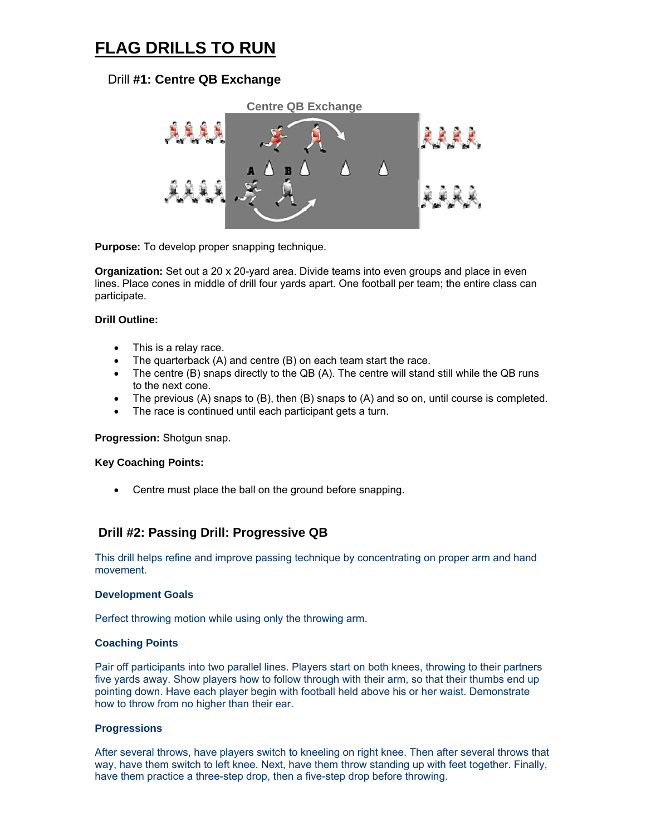# **FLAG DRILLS TO RUN**

#### Drill **#1: Centre QB Exchange**



**Purpose:** To develop proper snapping technique.

**Organization:** Set out a 20 x 20-yard area. Divide teams into even groups and place in even lines. Place cones in middle of drill four yards apart. One football per team; the entire class can participate.

#### **Drill Outline:**

- This is a relay race.
- The quarterback (A) and centre (B) on each team start the race.
- The centre (B) snaps directly to the QB (A). The centre will stand still while the QB runs to the next cone.
- The previous (A) snaps to (B), then (B) snaps to (A) and so on, until course is completed.
- The race is continued until each participant gets a turn.

#### **Progression:** Shotgun snap.

#### **Key Coaching Points:**

• Centre must place the ball on the ground before snapping.

#### **Drill #2: Passing Drill: Progressive QB**

This drill helps refine and improve passing technique by concentrating on proper arm and hand movement.

#### **Development Goals**

Perfect throwing motion while using only the throwing arm.

#### **Coaching Points**

Pair off participants into two parallel lines. Players start on both knees, throwing to their partners five yards away. Show players how to follow through with their arm, so that their thumbs end up pointing down. Have each player begin with football held above his or her waist. Demonstrate how to throw from no higher than their ear.

#### **Progressions**

After several throws, have players switch to kneeling on right knee. Then after several throws that way, have them switch to left knee. Next, have them throw standing up with feet together. Finally, have them practice a three-step drop, then a five-step drop before throwing.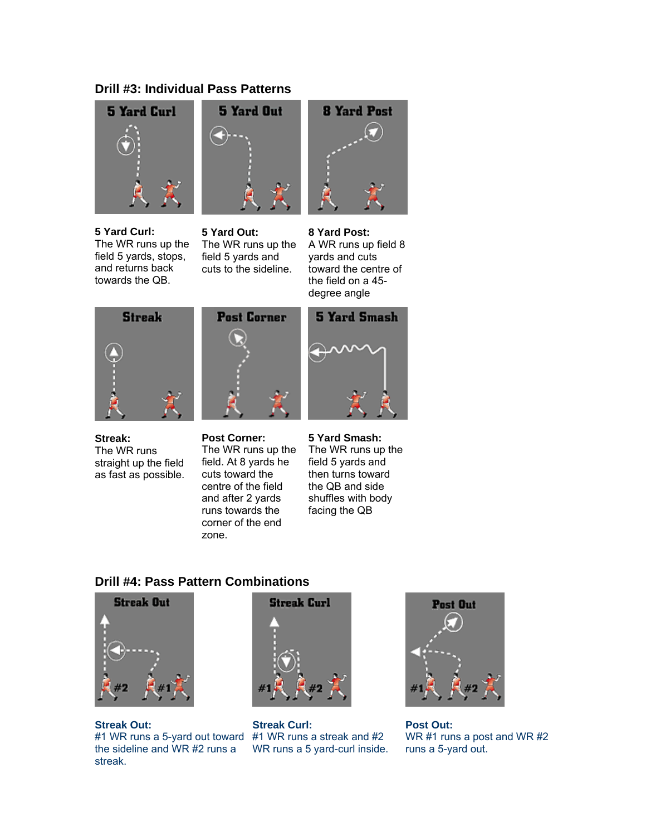### **Drill #3: Individual Pass Patterns**



**5 Yard Curl:** The WR runs up the field 5 yards, stops, and returns back towards the QB.



**5 Yard Out:** The WR runs up the field 5 yards and cuts to the sideline.



#### **8 Yard Post:**

A WR runs up field 8 yards and cuts toward the centre of the field on a 45 degree angle



**Streak:** The WR runs straight up the field as fast as possible.



**Post Corner:** The WR runs up the field. At 8 yards he cuts toward the centre of the field and after 2 yards runs towards the corner of the end zone.



**5 Yard Smash:** The WR runs up the field 5 yards and then turns toward the QB and side shuffles with body facing the QB

#### **Drill #4: Pass Pattern Combinations**



**Streak Out:** #1 WR runs a 5-yard out toward #1 WR runs a streak and #2 the sideline and WR #2 runs a streak.



**Streak Curl:** WR runs a 5 yard-curl inside.



**Post Out:** WR #1 runs a post and WR #2 runs a 5-yard out.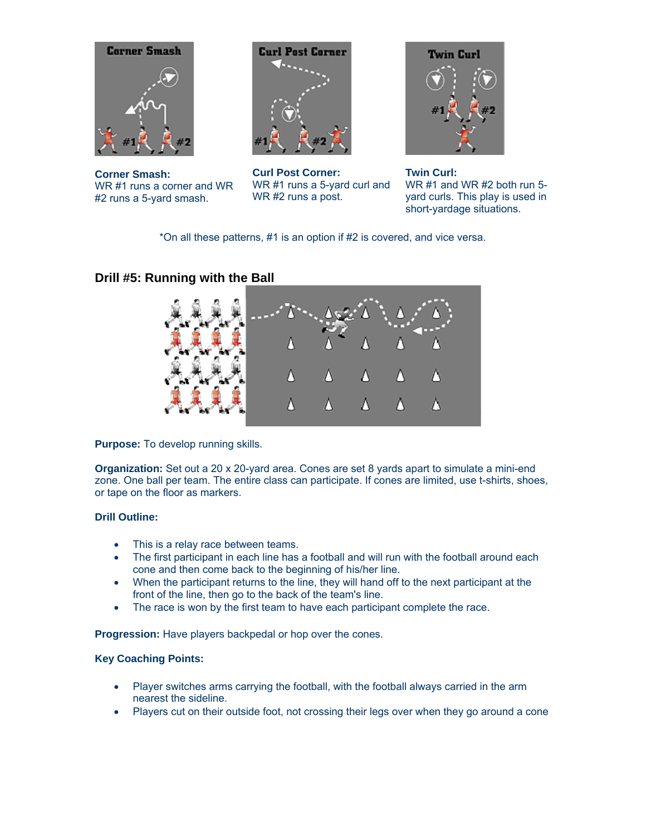

**Corner Smash:** WR #1 runs a corner and WR #2 runs a 5-yard smash.



**Curl Post Corner:** WR #1 runs a 5-yard curl and WR #2 runs a post.



**Twin Curl:** WR #1 and WR #2 both run 5 yard curls. This play is used in short-yardage situations.

\*On all these patterns, #1 is an option if #2 is covered, and vice versa.

## **Drill #5: Running with the Ball**



**Purpose:** To develop running skills.

**Organization:** Set out a 20 x 20-yard area. Cones are set 8 yards apart to simulate a mini-end zone. One ball per team. The entire class can participate. If cones are limited, use t-shirts, shoes, or tape on the floor as markers.

#### **Drill Outline:**

- This is a relay race between teams.
- The first participant in each line has a football and will run with the football around each cone and then come back to the beginning of his/her line.
- When the participant returns to the line, they will hand off to the next participant at the front of the line, then go to the back of the team's line.
- The race is won by the first team to have each participant complete the race.

**Progression:** Have players backpedal or hop over the cones.

#### **Key Coaching Points:**

- Player switches arms carrying the football, with the football always carried in the arm nearest the sideline.
- Players cut on their outside foot, not crossing their legs over when they go around a cone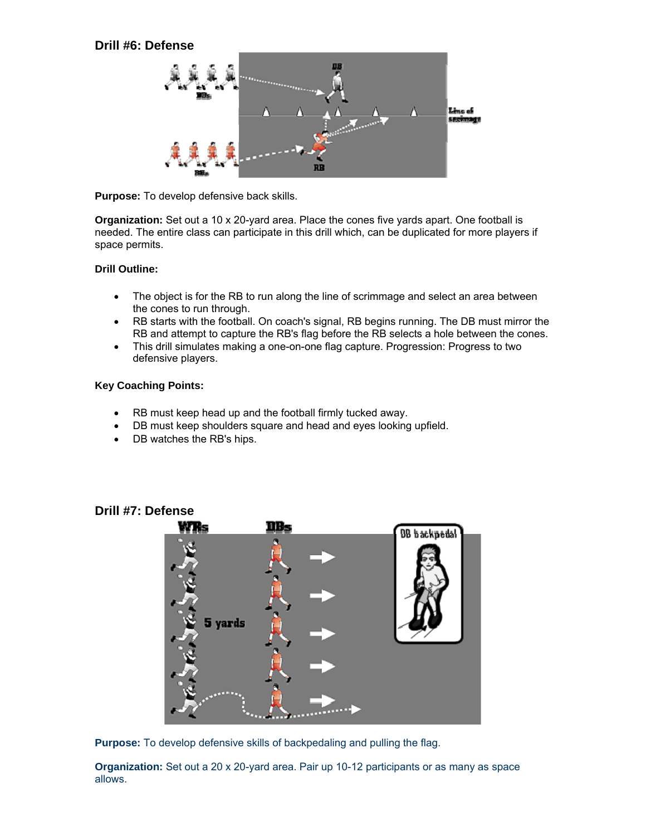

**Purpose:** To develop defensive back skills.

**Organization:** Set out a 10 x 20-yard area. Place the cones five yards apart. One football is needed. The entire class can participate in this drill which, can be duplicated for more players if space permits.

#### **Drill Outline:**

- The object is for the RB to run along the line of scrimmage and select an area between the cones to run through.
- RB starts with the football. On coach's signal, RB begins running. The DB must mirror the RB and attempt to capture the RB's flag before the RB selects a hole between the cones.
- This drill simulates making a one-on-one flag capture. Progression: Progress to two defensive players.

#### **Key Coaching Points:**

- RB must keep head up and the football firmly tucked away.
- DB must keep shoulders square and head and eyes looking upfield.
- DB watches the RB's hips.

# nΒ **BB** backpeda! 5 yards

**Drill #7: Defense**



**Organization:** Set out a 20 x 20-yard area. Pair up 10-12 participants or as many as space allows.